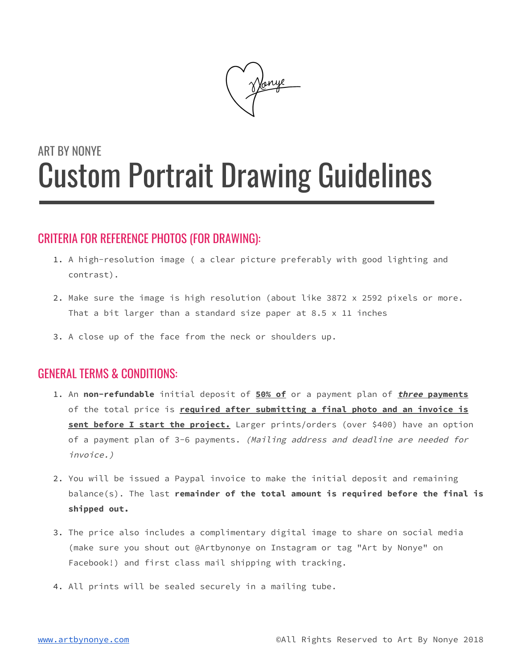

# ART BY NONYE Custom Portrait Drawing Guidelines

# CRITERIA FOR REFERENCE PHOTOS (FOR DRAWING):

- 1. A high-resolution image ( a clear picture preferably with good lighting and contrast).
- 2. Make sure the image is high resolution (about like 3872 x 2592 pixels or more. That a bit larger than a standard size paper at  $8.5 \times 11$  inches
- 3. A close up of the face from the neck or shoulders up.

# GENERAL TERMS & CONDITIONS:

- 1. An **non-refundable** initial deposit of **50% of** or a payment plan of **three payments** of the total price is **required after submitting a final photo and an invoice is sent before I start the project.** Larger prints/orders (over \$400) have an option of a payment plan of 3-6 payments. (Mailing address and deadline are needed for invoice.)
- 2. You will be issued a Paypal invoice to make the initial deposit and remaining balance(s). The last **remainder of the total amount is required before the final is shipped out.**
- 3. The price also includes a complimentary digital image to share on social media (make sure you shout out @Artbynonye on Instagram or tag "Art by Nonye" on Facebook!) and first class mail shipping with tracking.
- 4. All prints will be sealed securely in a mailing tube.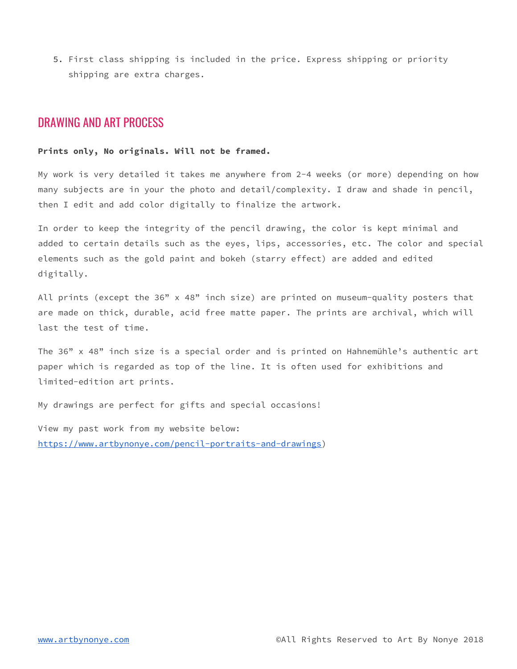5. First class shipping is included in the price. Express shipping or priority shipping are extra charges.

### DRAWING AND ART PROCESS

#### **Prints only, No originals. Will not be framed.**

My work is very detailed it takes me anywhere from 2-4 weeks (or more) depending on how many subjects are in your the photo and detail/complexity. I draw and shade in pencil, then I edit and add color digitally to finalize the artwork.

In order to keep the integrity of the pencil drawing, the color is kept minimal and added to certain details such as the eyes, lips, accessories, etc. The color and special elements such as the gold paint and bokeh (starry effect) are added and edited digitally.

All prints (except the 36" x 48" inch size) are printed on museum-quality posters that are made on thick, durable, acid free matte paper. The prints are archival, which will last the test of time.

The  $36"$  x  $48"$  inch size is a special order and is printed on Hahnemühle's authentic art paper which is regarded as top of the line. It is often used for exhibitions and limited-edition art prints.

My drawings are perfect for gifts and special occasions!

View my past work from my website below: [https://www.artbynonye.com/pencil-portraits-and-drawings\)](https://www.artbynonye.com/pencil-portraits-and-drawings)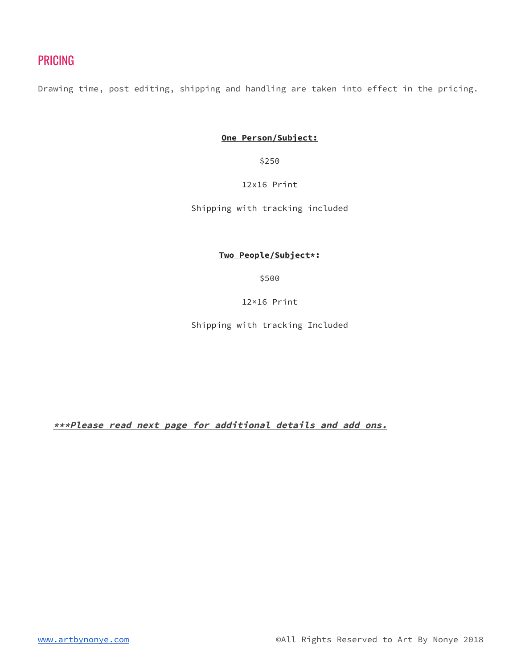# PRICING

Drawing time, post editing, shipping and handling are taken into effect in the pricing.

**One Person/Subject:**

\$250

#### 12x16 Print

Shipping with tracking included

#### **Two People/Subject\*:**

\$500

12×16 Print

Shipping with tracking Included

**\*\*\*Please read next page for additional details and add ons.**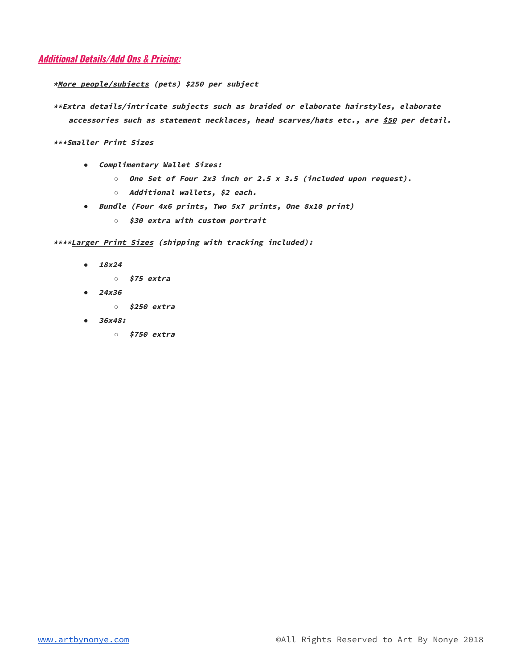#### **Additional Details/Add Ons & Pricing:**

**\*More people/subjects (pets) \$250 per subject**

**\*\*Extra details/intricate subjects such as braided or elaborate hairstyles, elaborate accessories such as statement necklaces, head scarves/hats etc., are \$50 per detail.**

**\*\*\*Smaller Print Sizes**

- *●* **Complimentary Wallet Sizes:**
	- *○* **One Set of Four 2x3 inch or 2.5 <sup>x</sup> 3.5 (included upon request).**
	- *○* **Additional wallets, \$2 each.**
- *●* **Bundle (Four 4x6 prints, Two 5x7 prints, One 8x10 print)**
	- *○* **\$30 extra with custom portrait**

**\*\*\*\*Larger Print Sizes (shipping with tracking included):**

- *●* **18x24**
	- *○* **\$75 extra**
- *●* **24x36**
	- *○* **\$250 extra**
- *●* **36x48:**
	- *○* **\$750 extra**